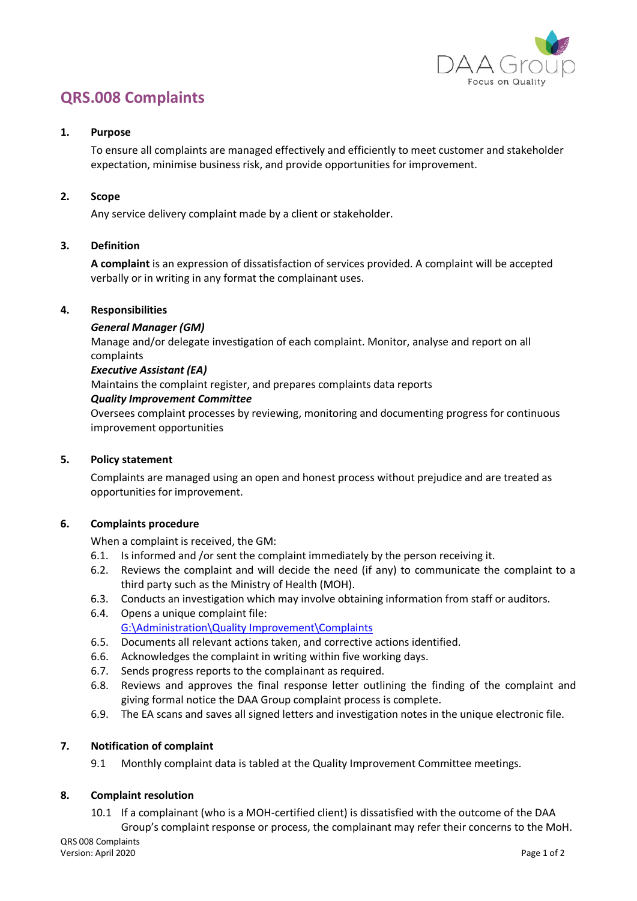

# **QRS.008 Complaints**

### **1. Purpose**

To ensure all complaints are managed effectively and efficiently to meet customer and stakeholder expectation, minimise business risk, and provide opportunities for improvement.

## **2. Scope**

Any service delivery complaint made by a client or stakeholder.

### **3. Definition**

**A complaint** is an expression of dissatisfaction of services provided. A complaint will be accepted verbally or in writing in any format the complainant uses.

#### **4. Responsibilities**

### *General Manager (GM)*

Manage and/or delegate investigation of each complaint. Monitor, analyse and report on all complaints

### *Executive Assistant (EA)*

Maintains the complaint register, and prepares complaints data reports

### *Quality Improvement Committee*

Oversees complaint processes by reviewing, monitoring and documenting progress for continuous improvement opportunities

## **5. Policy statement**

Complaints are managed using an open and honest process without prejudice and are treated as opportunities for improvement.

## **6. Complaints procedure**

When a complaint is received, the GM:

- 6.1. Is informed and /or sent the complaint immediately by the person receiving it.
- 6.2. Reviews the complaint and will decide the need (if any) to communicate the complaint to a third party such as the Ministry of Health (MOH).
- 6.3. Conducts an investigation which may involve obtaining information from staff or auditors.
- 6.4. Opens a unique complaint file: [G:\Administration\Quality Improvement\Complaints](file://xitfs02/DaaGroupData$/Administration/Quality%20Improvement/Complaints)
- 6.5. Documents all relevant actions taken, and corrective actions identified.
- 6.6. Acknowledges the complaint in writing within five working days.
- 6.7. Sends progress reports to the complainant as required.
- 6.8. Reviews and approves the final response letter outlining the finding of the complaint and giving formal notice the DAA Group complaint process is complete.
- 6.9. The EA scans and saves all signed letters and investigation notes in the unique electronic file.

## **7. Notification of complaint**

9.1 Monthly complaint data is tabled at the Quality Improvement Committee meetings.

## **8. Complaint resolution**

10.1 If a complainant (who is a MOH-certified client) is dissatisfied with the outcome of the DAA Group's complaint response or process, the complainant may refer their concerns to the MoH.